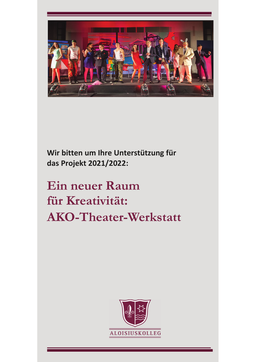

Wir bitten um Ihre Unterstützung für das Projekt 2021/2022:

# **Ein neuer Raum** für Kreativität: **AKO-Theater-Werkstatt**

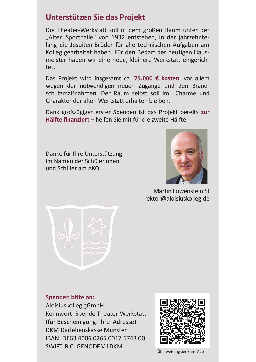### Unterstützen Sie das Projekt

Die Theater-Werkstatt soll in dem großen Raum unter der "Alten Sporthalle" von 1932 entstehen, in der jahrzehntelang die Jesuiten-Brüder für alle technischen Aufgaben am Kolleg gearbeitet haben. Für den Bedarf der heutigen Hausmeister haben wir eine neue, kleinere Werkstatt eingerichtet.

Das Projekt wird insgesamt ca. 75.000 € kosten, vor allem wegen der notwendigen neuen Zugänge und den Brandschutzmaßnahmen. Der Raum selbst soll im Charme und Charakter der alten Werkstatt erhalten bleiben.

Dank großzügiger erster Spenden ist das Projekt bereits zur Hälfte finanziert - helfen Sie mit für die zweite Hälfte.

Danke für Ihre Unterstützung im Namen der Schülerinnen und Schüler am AKO



Martin Löwenstein SJ rektor@aloisiuskolleg.de



**Spenden bitte an:** 

Aloisiuskolleg gGmbH Kennwort: Spende Theater-Werkstatt (für Bescheinigung: Ihre Adresse) DKM Darlehenskasse Münster IBAN: DE63 4006 0265 0017 6743 00 **SWIFT-BIC: GENODEM1DKM** 



Überweisung per Bank-App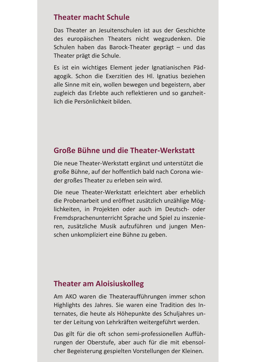#### **Theater macht Schule**

Das Theater an Jesuitenschulen ist aus der Geschichte des europäischen Theaters nicht wegzudenken. Die Schulen haben das Barock-Theater geprägt - und das Theater prägt die Schule.

Es ist ein wichtiges Element jeder Ignatianischen Pädagogik. Schon die Exerzitien des Hl. Ignatius beziehen alle Sinne mit ein, wollen bewegen und begeistern, aber zugleich das Erlebte auch reflektieren und so ganzheitlich die Persönlichkeit bilden.

### Große Bühne und die Theater-Werkstatt

Die neue Theater-Werkstatt ergänzt und unterstützt die große Bühne, auf der hoffentlich bald nach Corona wieder großes Theater zu erleben sein wird.

Die neue Theater-Werkstatt erleichtert aber erheblich die Probenarbeit und eröffnet zusätzlich unzählige Möglichkeiten, in Projekten oder auch im Deutsch- oder Fremdsprachenunterricht Sprache und Spiel zu inszenieren, zusätzliche Musik aufzuführen und jungen Menschen unkompliziert eine Bühne zu geben.

#### **Theater am Aloisiuskolleg**

Am AKO waren die Theateraufführungen immer schon Highlights des Jahres. Sie waren eine Tradition des Internates, die heute als Höhepunkte des Schuljahres unter der Leitung von Lehrkräften weitergeführt werden.

Das gilt für die oft schon semi-professionellen Aufführungen der Oberstufe, aber auch für die mit ebensolcher Begeisterung gespielten Vorstellungen der Kleinen.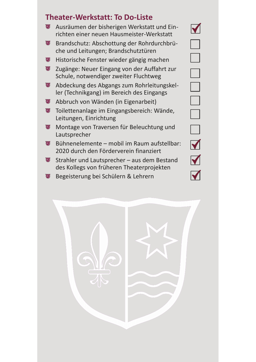## **Theater-Werkstatt: To Do-Liste**

- $\mathbb{F}$ Ausräumen der bisherigen Werkstatt und Einrichten einer neuen Hausmeister-Werkstatt
- Brandschutz: Abschottung der Rohrdurchbrü- $\mathbb{F}$ che und Leitungen; Brandschutztüren
- $\mathbb{E}$ Historische Fenster wieder gängig machen
- $\mathbb{F}$ Zugänge: Neuer Eingang von der Auffahrt zur Schule, notwendiger zweiter Fluchtweg
- Abdeckung des Abgangs zum Rohrleitungskel-**U** ler (Technikgang) im Bereich des Eingangs
- Abbruch von Wänden (in Eigenarbeit)  $\oplus$
- Toilettenanlage im Eingangsbereich: Wände, **U** Leitungen, Einrichtung
- Montage von Traversen für Beleuchtung und  $\mathbb{F}$ Lautsprecher
- Bühnenelemente mobil im Raum aufstellbar: 国 2020 durch den Förderverein finanziert
- $\mathbf{E}$ Strahler und Lautsprecher - aus dem Bestand des Kollegs von früheren Theaterprojekten
- 博 Begeisterung bei Schülern & Lehrern